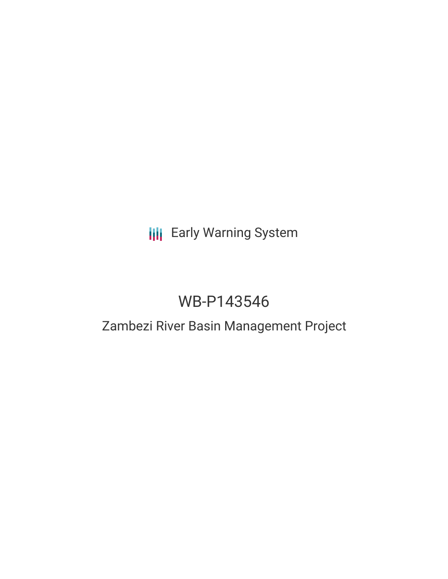# **III** Early Warning System

# WB-P143546

## Zambezi River Basin Management Project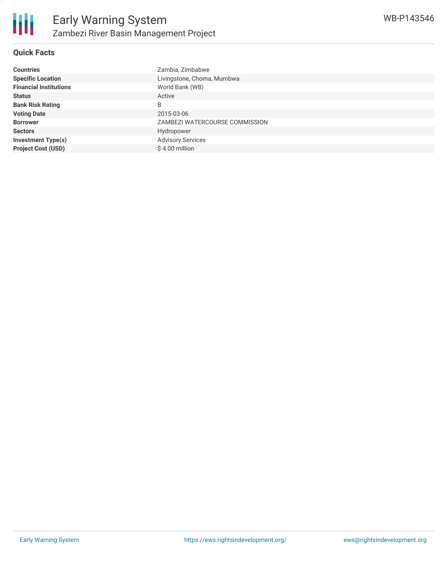

#### **Quick Facts**

| <b>Countries</b>              | Zambia, Zimbabwe               |
|-------------------------------|--------------------------------|
| <b>Specific Location</b>      | Livingstone, Choma, Mumbwa     |
| <b>Financial Institutions</b> | World Bank (WB)                |
| <b>Status</b>                 | Active                         |
| <b>Bank Risk Rating</b>       | B                              |
| <b>Voting Date</b>            | 2015-03-06                     |
| <b>Borrower</b>               | ZAMBEZI WATERCOURSE COMMISSION |
| <b>Sectors</b>                | Hydropower                     |
| <b>Investment Type(s)</b>     | <b>Advisory Services</b>       |
| <b>Project Cost (USD)</b>     | \$4.00 million                 |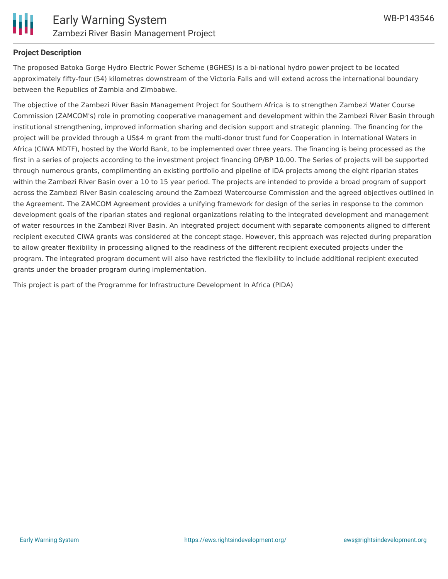

#### **Project Description**

The proposed Batoka Gorge Hydro Electric Power Scheme (BGHES) is a bi-national hydro power project to be located approximately fifty-four (54) kilometres downstream of the Victoria Falls and will extend across the international boundary between the Republics of Zambia and Zimbabwe.

The objective of the Zambezi River Basin Management Project for Southern Africa is to strengthen Zambezi Water Course Commission (ZAMCOM's) role in promoting cooperative management and development within the Zambezi River Basin through institutional strengthening, improved information sharing and decision support and strategic planning. The financing for the project will be provided through a US\$4 m grant from the multi-donor trust fund for Cooperation in International Waters in Africa (CIWA MDTF), hosted by the World Bank, to be implemented over three years. The financing is being processed as the first in a series of projects according to the investment project financing OP/BP 10.00. The Series of projects will be supported through numerous grants, complimenting an existing portfolio and pipeline of IDA projects among the eight riparian states within the Zambezi River Basin over a 10 to 15 year period. The projects are intended to provide a broad program of support across the Zambezi River Basin coalescing around the Zambezi Watercourse Commission and the agreed objectives outlined in the Agreement. The ZAMCOM Agreement provides a unifying framework for design of the series in response to the common development goals of the riparian states and regional organizations relating to the integrated development and management of water resources in the Zambezi River Basin. An integrated project document with separate components aligned to different recipient executed CIWA grants was considered at the concept stage. However, this approach was rejected during preparation to allow greater flexibility in processing aligned to the readiness of the different recipient executed projects under the program. The integrated program document will also have restricted the flexibility to include additional recipient executed grants under the broader program during implementation.

This project is part of the Programme for Infrastructure Development In Africa (PIDA)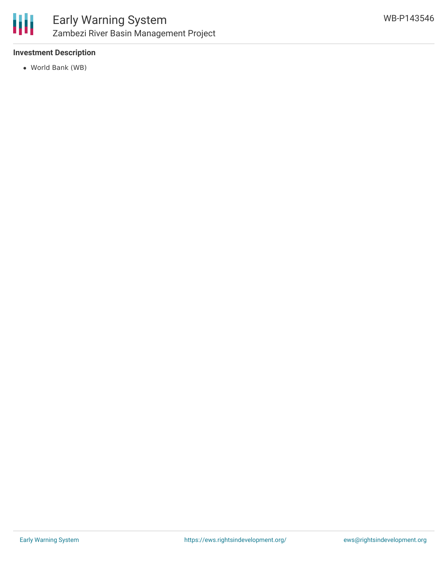

### **Investment Description**

World Bank (WB)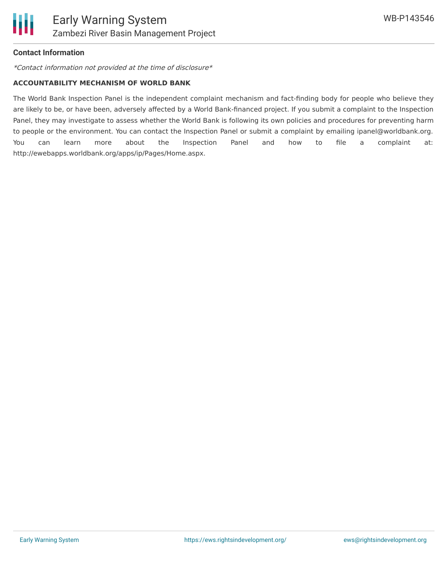

#### **Contact Information**

\*Contact information not provided at the time of disclosure\*

#### **ACCOUNTABILITY MECHANISM OF WORLD BANK**

The World Bank Inspection Panel is the independent complaint mechanism and fact-finding body for people who believe they are likely to be, or have been, adversely affected by a World Bank-financed project. If you submit a complaint to the Inspection Panel, they may investigate to assess whether the World Bank is following its own policies and procedures for preventing harm to people or the environment. You can contact the Inspection Panel or submit a complaint by emailing ipanel@worldbank.org. You can learn more about the Inspection Panel and how to file a complaint at: http://ewebapps.worldbank.org/apps/ip/Pages/Home.aspx.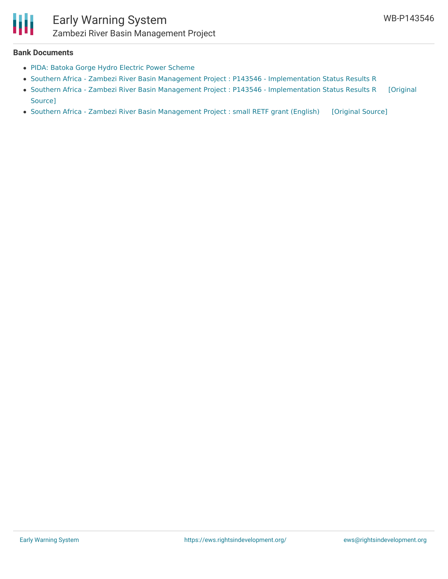

### Early Warning System Zambezi River Basin Management Project

#### **Bank Documents**

- PIDA: Batoka Gorge Hydro Electric Power [Scheme](http://www.au-pida.org/view-project/335/)
- Southern Africa Zambezi River Basin Management Project : P143546 [Implementation](http://documents.worldbank.org/curated/en/385281498168585360/pdf/ISR-Disclosable-P143546-06-22-2017-1498168577792.pdf) Status Results R
- Southern Africa Zambezi River Basin Management Project : P143546 [Implementation](https://ewsdata.rightsindevelopment.org/files/documents/46/WB-P143546.pdf) Status Results R [Original Source]
- Southern Africa Zambezi River Basin [Management](https://ewsdata.rightsindevelopment.org/files/documents/46/WB-P143546_9awjj2k.pdf) Project : small RETF grant (English) [\[Original](http://documents.worldbank.org/curated/en/744941468104935128/pdf/9475500PAD0P140praisal0PAD000Final.pdf) Source]